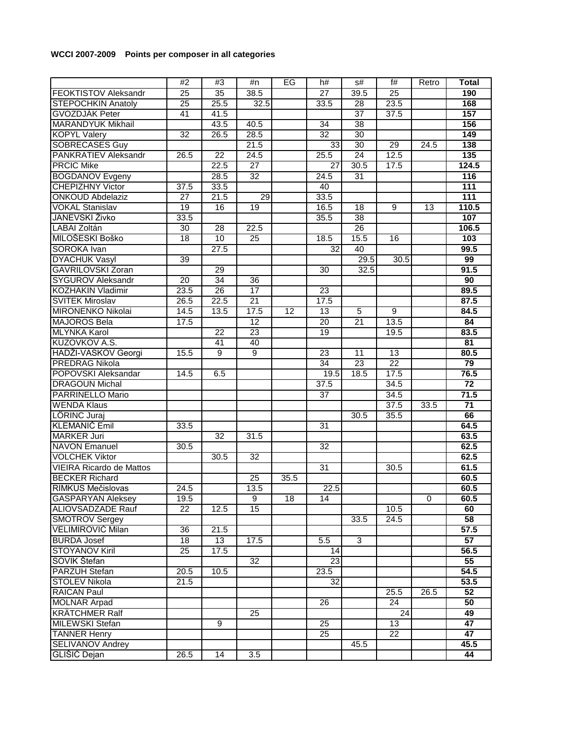## **WCCI 2007-2009 Points per composer in all categories**

|                                 | #2              | #3              | #n              | EG   | h#              | s#              | f#              | Retro | <b>Total</b>     |
|---------------------------------|-----------------|-----------------|-----------------|------|-----------------|-----------------|-----------------|-------|------------------|
| <b>FEOKTISTOV Aleksandr</b>     | $\overline{25}$ | 35              | 38.5            |      | 27              | 39.5            | 25              |       | 190              |
| <b>STEPOCHKIN Anatoly</b>       | $\overline{25}$ | 25.5            | 32.5            |      | 33.5            | 28              | 23.5            |       | 168              |
| <b>GVOZDJÁK Peter</b>           | 41              | 41.5            |                 |      |                 | 37              | 37.5            |       | 157              |
| <b>MARANDYUK Mikhail</b>        |                 | 43.5            | 40.5            |      | 34              | 38              |                 |       | 156              |
| <b>KOPYL Valery</b>             | 32              | 26.5            | 28.5            |      | 32              | $\overline{30}$ |                 |       | 149              |
| <b>SOBRECASES Guy</b>           |                 |                 | 21.5            |      | 33              | 30              | 29              | 24.5  | 138              |
| <b>PANKRATIEV Aleksandr</b>     | 26.5            | 22              | 24.5            |      | 25.5            | 24              | 12.5            |       | 135              |
| <b>PRCIC Mike</b>               |                 | 22.5            | $\overline{27}$ |      | 27              | 30.5            | 17.5            |       | 124.5            |
| <b>BOGDANOV Evgeny</b>          |                 | 28.5            | $\overline{32}$ |      | 24.5            | $\overline{31}$ |                 |       | 116              |
| <b>CHEPIZHNY Victor</b>         | 37.5            | 33.5            |                 |      | 40              |                 |                 |       | 111              |
| <b>ONKOUD Abdelaziz</b>         | $\overline{27}$ | 21.5            | 29              |      | 33.5            |                 |                 |       | $\overline{111}$ |
| <b>VOKAL Stanislav</b>          | 19              | 16              | 19              |      | 16.5            | 18              | $\overline{9}$  | 13    | 110.5            |
| JANEVSKI Živko                  | 33.5            |                 |                 |      | 35.5            | 38              |                 |       | 107              |
| <b>LABAI Zoltán</b>             | 30              | 28              | 22.5            |      |                 | 26              |                 |       | 106.5            |
| MILOŠESKI Boško                 | 18              | 10              | $\overline{25}$ |      | 18.5            | 15.5            | 16              |       | 103              |
| SOROKA Ivan                     |                 | 27.5            |                 |      | 32              | 40              |                 |       | 99.5             |
| <b>DYACHUK Vasyl</b>            | 39              |                 |                 |      |                 | 29.5            | 30.5            |       | 99               |
| <b>GAVRILOVSKI Zoran</b>        |                 | 29              |                 |      | 30              | 32.5            |                 |       | 91.5             |
| <b>SYGUROV Aleksandr</b>        | $\overline{20}$ | $\overline{34}$ | 36              |      |                 |                 |                 |       | 90               |
| <b>KOZHAKIN Vladimir</b>        | 23.5            | $\overline{26}$ | $\overline{17}$ |      | $\overline{23}$ |                 |                 |       | 89.5             |
| <b>SVITEK Miroslav</b>          | 26.5            | 22.5            | 21              |      | 17.5            |                 |                 |       | 87.5             |
| <b>MIRONENKO Nikolai</b>        | 14.5            | 13.5            | 17.5            | 12   | 13              | 5               | 9               |       | 84.5             |
| <b>MAJOROS Bela</b>             | 17.5            |                 | $\overline{12}$ |      | $\overline{20}$ | $\overline{21}$ | 13.5            |       | 84               |
| <b>MLYNKA Karol</b>             |                 | 22              | 23              |      | 19              |                 | 19.5            |       | 83.5             |
| KUZOVKOV A.S.                   |                 | 41              | 40              |      |                 |                 |                 |       | 81               |
| HADŽI-VASKOV Georgi             | 15.5            | 9               | 9               |      | 23              | 11              | 13              |       | 80.5             |
| <b>PREDRAG Nikola</b>           |                 |                 |                 |      | 34              | 23              | $\overline{22}$ |       | 79               |
| POPOVSKI Aleksandar             | 14.5            | 6.5             |                 |      | 19.5            | 18.5            | 17.5            |       | 76.5             |
| <b>DRAGOUN Michal</b>           |                 |                 |                 |      | 37.5            |                 | 34.5            |       | 72               |
| PARRINELLO Mario                |                 |                 |                 |      | $\overline{37}$ |                 | 34.5            |       | 71.5             |
| <b>WENDA Klaus</b>              |                 |                 |                 |      |                 |                 | 37.5            | 33.5  | $\overline{71}$  |
| LÖRINC Juraj                    |                 |                 |                 |      |                 | 30.5            | 35.5            |       | 66               |
| <b>KLEMANIČ Emil</b>            | 33.5            |                 |                 |      | 31              |                 |                 |       | 64.5             |
| <b>MARKER Juri</b>              |                 | 32              | 31.5            |      |                 |                 |                 |       | 63.5             |
| <b>NAVON Emanuel</b>            | 30.5            |                 |                 |      | 32              |                 |                 |       | 62.5             |
| <b>VOLCHEK Viktor</b>           |                 | 30.5            | $\overline{32}$ |      |                 |                 |                 |       | 62.5             |
| <b>VIEIRA Ricardo de Mattos</b> |                 |                 |                 |      | $\overline{31}$ |                 | 30.5            |       | 61.5             |
| <b>BECKER Richard</b>           |                 |                 | 25              | 35.5 |                 |                 |                 |       | 60.5             |
| RIMKUS Mečislovas               | 24.5            |                 | 13.5            |      | 22.5            |                 |                 |       | 60.5             |
| <b>GASPARYAN Aleksey</b>        | 19.5            |                 | 9               | 18   | 14              |                 |                 | 0     | 60.5             |
| ALIOVSADZADE Rauf               | 22              | 12.5            | 15              |      |                 |                 | 10.5            |       | 60               |
| <b>SMOTROV Sergey</b>           |                 |                 |                 |      |                 | 33.5            | 24.5            |       | 58               |
| <b>VELIMIROVIĆ Milan</b>        | 36              | 21.5            |                 |      |                 |                 |                 |       | 57.5             |
| <b>BURDA Josef</b>              | 18              | 13              | 17.5            |      | 5.5             | 3               |                 |       | 57               |
| <b>STOYANOV Kiril</b>           | $\overline{25}$ | 17.5            |                 |      | 14              |                 |                 |       | 56.5             |
| SOVIK Štefan                    |                 |                 | 32              |      | 23              |                 |                 |       | 55               |
| <b>PARZUH Stefan</b>            | 20.5            | 10.5            |                 |      | 23.5            |                 |                 |       | 54.5             |
| <b>STOLEV Nikola</b>            | 21.5            |                 |                 |      | $\overline{32}$ |                 |                 |       | 53.5             |
| <b>RAICAN Paul</b>              |                 |                 |                 |      |                 |                 | 25.5            | 26.5  | 52               |
| <b>MOLNAR Arpad</b>             |                 |                 |                 |      | 26              |                 | 24              |       | 50               |
| <b>KRÄTCHMER Ralf</b>           |                 |                 | 25              |      |                 |                 | 24              |       | 49               |
| <b>MILEWSKI Stefan</b>          |                 | 9               |                 |      | 25              |                 | 13              |       | 47               |
| <b>TANNER Henry</b>             |                 |                 |                 |      | 25              |                 | $\overline{22}$ |       | 47               |
| <b>SELIVANOV Andrey</b>         |                 |                 |                 |      |                 | 45.5            |                 |       | 45.5             |
| <b>GLISIC Dejan</b>             | 26.5            | 14              | 3.5             |      |                 |                 |                 |       | 44               |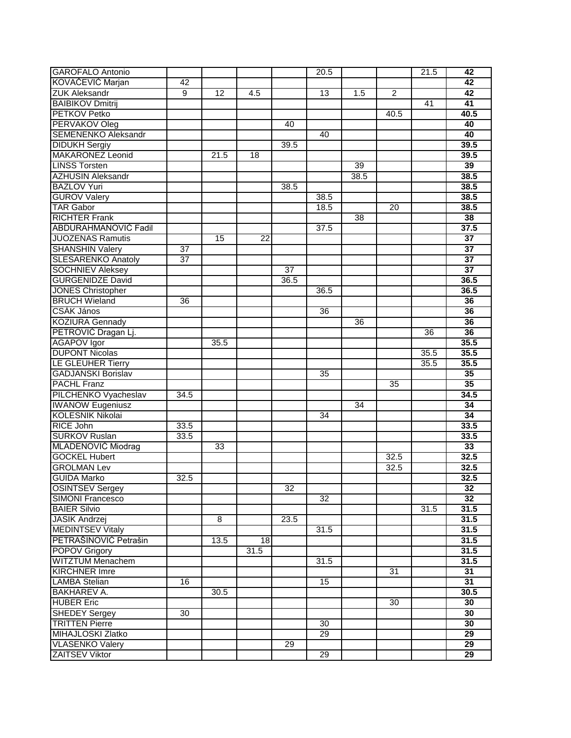| <b>GAROFALO Antonio</b>                  |                 |                 |                 |      | 20.5            |      |                | 21.5            | 42              |
|------------------------------------------|-----------------|-----------------|-----------------|------|-----------------|------|----------------|-----------------|-----------------|
| KOVAČEVIĆ Marjan                         | 42              |                 |                 |      |                 |      |                |                 | 42              |
| <b>ZUK Aleksandr</b>                     | 9               | 12              | 4.5             |      | 13              | 1.5  | $\overline{2}$ |                 | 42              |
| <b>BAIBIKOV Dmitrij</b>                  |                 |                 |                 |      |                 |      |                | $\overline{41}$ | 41              |
| <b>PETKOV Petko</b>                      |                 |                 |                 |      |                 |      | 40.5           |                 | 40.5            |
| PERVAKOV Oleg                            |                 |                 |                 | 40   |                 |      |                |                 | 40              |
| <b>SEMENENKO Aleksandr</b>               |                 |                 |                 |      | 40              |      |                |                 | 40              |
| <b>DIDUKH Sergiy</b>                     |                 |                 |                 | 39.5 |                 |      |                |                 | 39.5            |
| <b>MAKARONEZ Leonid</b>                  |                 | 21.5            | 18              |      |                 |      |                |                 | 39.5            |
| <b>LINSS Torsten</b>                     |                 |                 |                 |      |                 | 39   |                |                 | 39              |
| <b>AZHUSIN Aleksandr</b>                 |                 |                 |                 |      |                 | 38.5 |                |                 | 38.5            |
| <b>BAZLOV Yuri</b>                       |                 |                 |                 | 38.5 |                 |      |                |                 | 38.5            |
| <b>GUROV Valery</b>                      |                 |                 |                 |      | 38.5            |      |                |                 | 38.5            |
| <b>TAR Gabor</b>                         |                 |                 |                 |      | 18.5            |      | 20             |                 | 38.5            |
| <b>RICHTER Frank</b>                     |                 |                 |                 |      |                 | 38   |                |                 | 38              |
| <b>ABDURAHMANOVIĆ Fadil</b>              |                 |                 |                 |      | 37.5            |      |                |                 | 37.5            |
| <b>JUOZENAS Ramutis</b>                  |                 | $\overline{15}$ | $\overline{22}$ |      |                 |      |                |                 | 37              |
| <b>SHANSHIN Valery</b>                   | 37              |                 |                 |      |                 |      |                |                 | 37              |
| <b>SLESARENKO Anatoly</b>                | $\overline{37}$ |                 |                 |      |                 |      |                |                 | $\overline{37}$ |
| <b>SOCHNIEV Aleksey</b>                  |                 |                 |                 | 37   |                 |      |                |                 | 37              |
| <b>GURGENIDZE David</b>                  |                 |                 |                 | 36.5 |                 |      |                |                 | 36.5            |
| <b>JONES Christopher</b>                 |                 |                 |                 |      | 36.5            |      |                |                 | 36.5            |
| <b>BRUCH Wieland</b>                     | 36              |                 |                 |      |                 |      |                |                 | 36              |
| CSÁK János                               |                 |                 |                 |      | 36              |      |                |                 | 36              |
| <b>KOZIURA Gennady</b>                   |                 |                 |                 |      |                 | 36   |                |                 | 36              |
| PETROVIĆ Dragan Lj.                      |                 |                 |                 |      |                 |      |                | 36              | 36              |
| <b>AGAPOV</b> Igor                       |                 | 35.5            |                 |      |                 |      |                |                 | 35.5            |
| <b>DUPONT Nicolas</b>                    |                 |                 |                 |      |                 |      |                | 35.5            | 35.5            |
| LE GLEUHER Tierry                        |                 |                 |                 |      |                 |      |                | 35.5            | 35.5            |
| <b>GADJANSKI Borislav</b>                |                 |                 |                 |      | 35              |      |                |                 | 35              |
| <b>PACHL Franz</b>                       |                 |                 |                 |      |                 |      | 35             |                 | 35              |
| PILCHENKO Vyacheslav                     | 34.5            |                 |                 |      |                 |      |                |                 | 34.5            |
| <b>IWANOW Eugeniusz</b>                  |                 |                 |                 |      |                 | 34   |                |                 | 34              |
| <b>KOLESNIK Nikolai</b>                  |                 |                 |                 |      | 34              |      |                |                 | 34              |
| <b>RICE John</b>                         | 33.5            |                 |                 |      |                 |      |                |                 | 33.5            |
| <b>SURKOV Ruslan</b>                     | 33.5            |                 |                 |      |                 |      |                |                 | 33.5            |
| MLADENOVIĆ Miodrag                       |                 | 33              |                 |      |                 |      |                |                 | 33              |
| <b>GOCKEL Hubert</b>                     |                 |                 |                 |      |                 |      | 32.5           |                 | 32.5            |
| <b>GROLMAN Lev</b>                       |                 |                 |                 |      |                 |      | 32.5           |                 | 32.5            |
| <b>GUIDA Marko</b>                       | 32.5            |                 |                 |      |                 |      |                |                 | 32.5            |
| <b>OSINTSEV Sergey</b>                   |                 |                 |                 | 32   |                 |      |                |                 | 32              |
| <b>SIMONI Francesco</b>                  |                 |                 |                 |      | 32              |      |                |                 | 32              |
| <b>BAIER Silvio</b>                      |                 |                 |                 |      |                 |      |                | 31.5            | 31.5            |
|                                          |                 | 8               |                 | 23.5 |                 |      |                |                 | 31.5            |
| <b>JASIK Andrzej</b><br>MEDINTSEV Vitaly |                 |                 |                 |      | 31.5            |      |                |                 | 31.5            |
| PETRAŠINOVIĆ Petrašin                    |                 | 13.5            | 18              |      |                 |      |                |                 | 31.5            |
| <b>POPOV Grigory</b>                     |                 |                 | 31.5            |      |                 |      |                |                 | 31.5            |
| <b>WITZTUM Menachem</b>                  |                 |                 |                 |      | 31.5            |      |                |                 | 31.5            |
| <b>KIRCHNER Imre</b>                     |                 |                 |                 |      |                 |      | 31             |                 | 31              |
| <b>LAMBA Stelian</b>                     | 16              |                 |                 |      | 15              |      |                |                 | 31              |
| <b>BAKHAREV A.</b>                       |                 | 30.5            |                 |      |                 |      |                |                 | 30.5            |
| <b>HUBER Eric</b>                        |                 |                 |                 |      |                 |      | 30             |                 | 30              |
| <b>SHEDEY Sergey</b>                     | 30              |                 |                 |      |                 |      |                |                 | 30              |
| <b>TRITTEN Pierre</b>                    |                 |                 |                 |      | 30              |      |                |                 | 30              |
| <b>MIHAJLOSKI Zlatko</b>                 |                 |                 |                 |      | $\overline{29}$ |      |                |                 | 29              |
| <b>VLASENKO Valery</b>                   |                 |                 |                 | 29   |                 |      |                |                 | 29              |
| <b>ZAITSEV Viktor</b>                    |                 |                 |                 |      | 29              |      |                |                 | 29              |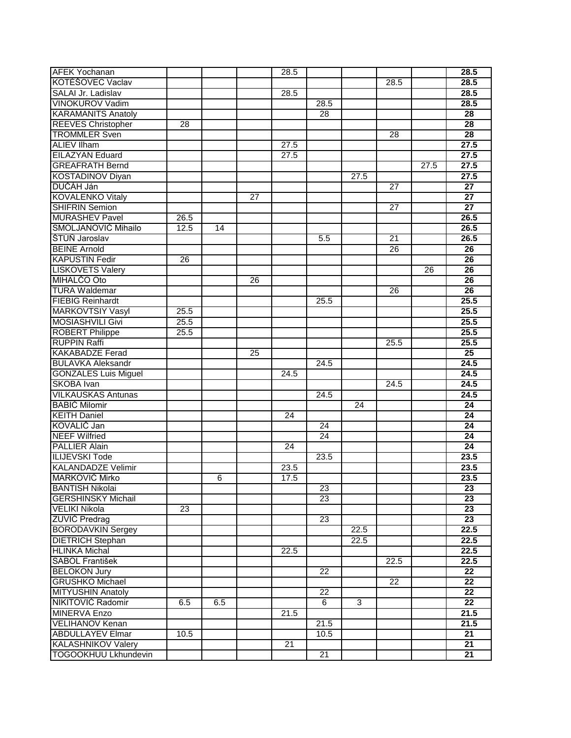| <b>AFEK Yochanan</b>        |      |     |                 | 28.5 |                 |      |                 |      | 28.5              |
|-----------------------------|------|-----|-----------------|------|-----------------|------|-----------------|------|-------------------|
| KOTÉŠOVEC Vaclav            |      |     |                 |      |                 |      | 28.5            |      | 28.5              |
| SALAI Jr. Ladislav          |      |     |                 | 28.5 |                 |      |                 |      | 28.5              |
| <b>VINOKUROV Vadim</b>      |      |     |                 |      | 28.5            |      |                 |      | 28.5              |
| <b>KARAMANITS Anatoly</b>   |      |     |                 |      | $\overline{28}$ |      |                 |      | 28                |
| <b>REEVES Christopher</b>   | 28   |     |                 |      |                 |      |                 |      | 28                |
| <b>TROMMLER Sven</b>        |      |     |                 |      |                 |      | 28              |      | 28                |
| <b>ALIEV Ilham</b>          |      |     |                 | 27.5 |                 |      |                 |      | 27.5              |
| <b>EILAZYAN Eduard</b>      |      |     |                 | 27.5 |                 |      |                 |      | 27.5              |
| <b>GREAFRATH Bernd</b>      |      |     |                 |      |                 |      |                 | 27.5 | 27.5              |
| <b>KOSTADINOV Diyan</b>     |      |     |                 |      |                 | 27.5 |                 |      | $\overline{27.5}$ |
| DUCAH Ján                   |      |     |                 |      |                 |      | $\overline{27}$ |      | 27                |
| <b>KOVALENKO Vitaly</b>     |      |     | $\overline{27}$ |      |                 |      |                 |      | 27                |
| <b>SHIFRIN Semion</b>       |      |     |                 |      |                 |      | $\overline{27}$ |      | $\overline{27}$   |
| <b>MURASHEV Pavel</b>       | 26.5 |     |                 |      |                 |      |                 |      | 26.5              |
| SMOLJANOVIĆ Mihailo         | 12.5 | 14  |                 |      |                 |      |                 |      | 26.5              |
| <b>STÚÑ Jaroslav</b>        |      |     |                 |      | 5.5             |      | 21              |      | 26.5              |
| <b>BEINE Arnold</b>         |      |     |                 |      |                 |      | 26              |      | $\overline{26}$   |
| <b>KAPUSTIN Fedir</b>       | 26   |     |                 |      |                 |      |                 |      | $\overline{26}$   |
| <b>LISKOVETS Valery</b>     |      |     |                 |      |                 |      |                 | 26   | 26                |
| MIHALCO Oto                 |      |     | 26              |      |                 |      |                 |      | 26                |
| <b>TURA Waldemar</b>        |      |     |                 |      |                 |      | 26              |      | 26                |
| <b>FIEBIG Reinhardt</b>     |      |     |                 |      | 25.5            |      |                 |      | 25.5              |
| <b>MARKOVTSIY Vasyl</b>     | 25.5 |     |                 |      |                 |      |                 |      | 25.5              |
| <b>MOSIASHVILI Givi</b>     | 25.5 |     |                 |      |                 |      |                 |      | 25.5              |
| <b>ROBERT Philippe</b>      | 25.5 |     |                 |      |                 |      |                 |      | 25.5              |
| <b>RUPPIN Raffi</b>         |      |     |                 |      |                 |      | 25.5            |      | 25.5              |
| <b>KAKABADZE Ferad</b>      |      |     | 25              |      |                 |      |                 |      | 25                |
| <b>BULAVKA Aleksandr</b>    |      |     |                 |      | 24.5            |      |                 |      | 24.5              |
| <b>GONZALES Luis Miguel</b> |      |     |                 | 24.5 |                 |      |                 |      | 24.5              |
| <b>SKOBA</b> Ivan           |      |     |                 |      |                 |      | 24.5            |      | 24.5              |
| <b>VILKAUSKAS Antunas</b>   |      |     |                 |      | 24.5            |      |                 |      | 24.5              |
| <b>BABIĆ Milomir</b>        |      |     |                 |      |                 | 24   |                 |      | 24                |
| <b>KEITH Daniel</b>         |      |     |                 | 24   |                 |      |                 |      | 24                |
| KOVALIČ Jan                 |      |     |                 |      | 24              |      |                 |      | 24                |
| <b>NEEF Wilfried</b>        |      |     |                 |      | $\overline{24}$ |      |                 |      | $\overline{24}$   |
| <b>PALLIER Alain</b>        |      |     |                 | 24   |                 |      |                 |      | 24                |
| <b>ILIJEVSKI Tode</b>       |      |     |                 |      | 23.5            |      |                 |      | 23.5              |
| <b>KALANDADZE Velimir</b>   |      |     |                 | 23.5 |                 |      |                 |      | 23.5              |
| <b>MARKOVIĆ Mirko</b>       |      | 6   |                 | 17.5 |                 |      |                 |      | 23.5              |
| <b>BANTISH Nikolai</b>      |      |     |                 |      | 23              |      |                 |      | 23                |
| <b>GERSHINSKY Michail</b>   |      |     |                 |      | 23              |      |                 |      | 23                |
| <b>VELIKI Nikola</b>        | 23   |     |                 |      |                 |      |                 |      | $\overline{23}$   |
| <b>ZUVIC Predrag</b>        |      |     |                 |      | 23              |      |                 |      | 23                |
| <b>BORODAVKIN Sergey</b>    |      |     |                 |      |                 | 22.5 |                 |      | 22.5              |
| <b>DIETRICH Stephan</b>     |      |     |                 |      |                 | 22.5 |                 |      | 22.5              |
| <b>HLINKA Michal</b>        |      |     |                 | 22.5 |                 |      |                 |      | 22.5              |
| <b>SABOL František</b>      |      |     |                 |      |                 |      | 22.5            |      | 22.5              |
| <b>BELOKON Jury</b>         |      |     |                 |      | $\overline{22}$ |      |                 |      | 22                |
| <b>GRUSHKO Michael</b>      |      |     |                 |      |                 |      | 22              |      | 22                |
| <b>MITYUSHIN Anatoly</b>    |      |     |                 |      | 22              |      |                 |      | $\overline{22}$   |
| NIKITOVIĆ Radomir           | 6.5  | 6.5 |                 |      | 6               | 3    |                 |      | $\overline{22}$   |
| <b>MINERVA Enzo</b>         |      |     |                 | 21.5 |                 |      |                 |      | 21.5              |
| <b>VELIHANOV Kenan</b>      |      |     |                 |      | 21.5            |      |                 |      | 21.5              |
| <b>ABDULLAYEV Elmar</b>     | 10.5 |     |                 |      | 10.5            |      |                 |      | 21                |
| <b>KALASHNIKOV Valery</b>   |      |     |                 | 21   |                 |      |                 |      | 21                |
| <b>TOGOOKHUU Lkhundevin</b> |      |     |                 |      | 21              |      |                 |      | 21                |